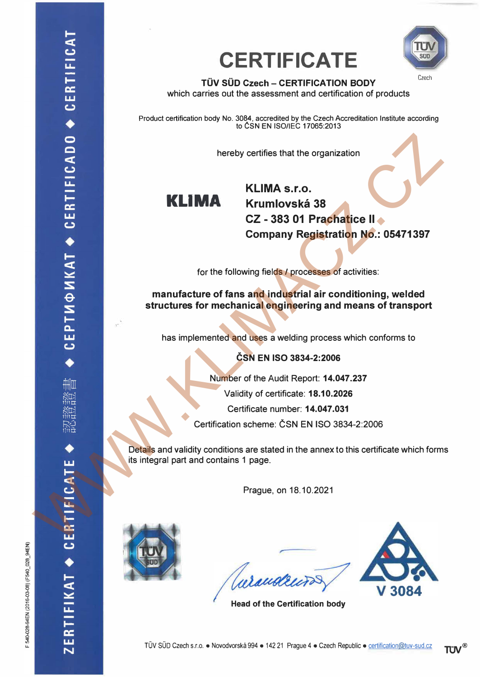



**TÜV SÜD Czech – CERTIFICATION BODY** which carries out the assessment and certification of products

Product certification body No. 3084, accredited by the Czech Accreditation Institute according to ČSN EN ISO/IEC 17065:2013

hereby certifies that the organization



**KLIMA s.r.o. Krumlovská 38 CZ - 383 01 Prachatice li Company Registration No.: 05471397**  hereby certifies that the organization<br>
ELIMA KLIMA s.r.o.<br>
CZ - 388 of Pracharactice II.<br>
COMPany Registration No.: 05471397<br>
for the following fields 4 processes of activities:<br>
manufacture of fans and industrial air con

for the following fields / processes of activities:

**manufacture of fans and industrial air conditioning, welded structures for mechanical engineering and means of transport** 

has implemented and uses a welding process which conforms to

**ČSN EN ISO 3834-2:2006**

Number of the Audit Report: **14.047.237**

Validity of certificate: **18.10.2026**

Certificate number: **14.047.031**

Certífication scheme: ČSN EN ISO 3834-2:2006

Details and validity conditions are stated in the annex to this certificate which forms its integral part and contains 1 page.

Prague, on 18.10.2021



Curandruras



**Head of the Certification body** 

F 540-028-94EN (2016-03-08) (F540 028 94EN)